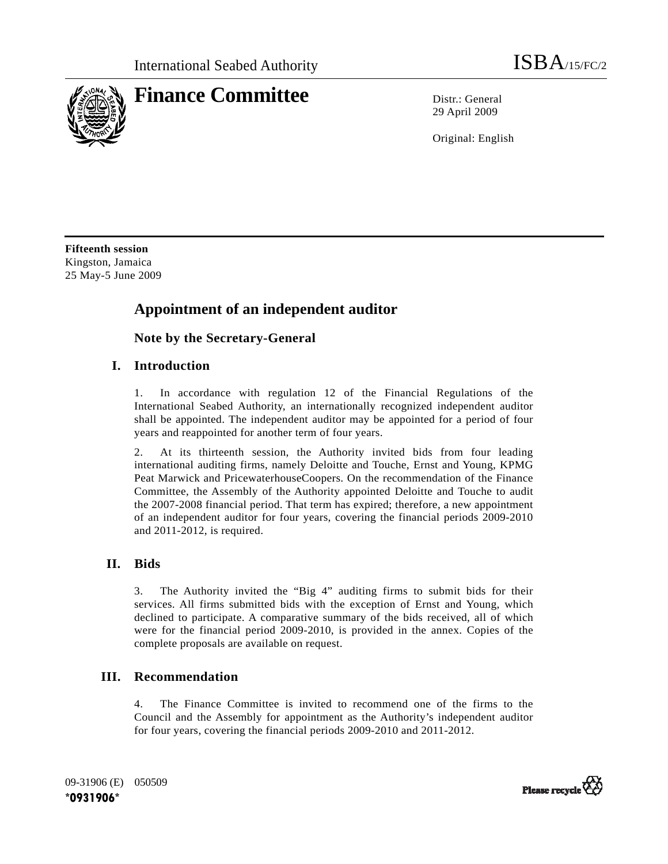

29 April 2009

Original: English

**Fifteenth session**  Kingston, Jamaica 25 May-5 June 2009

# **Appointment of an independent auditor**

 **Note by the Secretary-General** 

### **I. Introduction**

1. In accordance with regulation 12 of the Financial Regulations of the International Seabed Authority, an internationally recognized independent auditor shall be appointed. The independent auditor may be appointed for a period of four years and reappointed for another term of four years.

2. At its thirteenth session, the Authority invited bids from four leading international auditing firms, namely Deloitte and Touche, Ernst and Young, KPMG Peat Marwick and PricewaterhouseCoopers. On the recommendation of the Finance Committee, the Assembly of the Authority appointed Deloitte and Touche to audit the 2007-2008 financial period. That term has expired; therefore, a new appointment of an independent auditor for four years, covering the financial periods 2009-2010 and 2011-2012, is required.

### **II. Bids**

3. The Authority invited the "Big 4" auditing firms to submit bids for their services. All firms submitted bids with the exception of Ernst and Young, which declined to participate. A comparative summary of the bids received, all of which were for the financial period 2009-2010, is provided in the annex. Copies of the complete proposals are available on request.

### **III. Recommendation**

4. The Finance Committee is invited to recommend one of the firms to the Council and the Assembly for appointment as the Authority's independent auditor for four years, covering the financial periods 2009-2010 and 2011-2012.

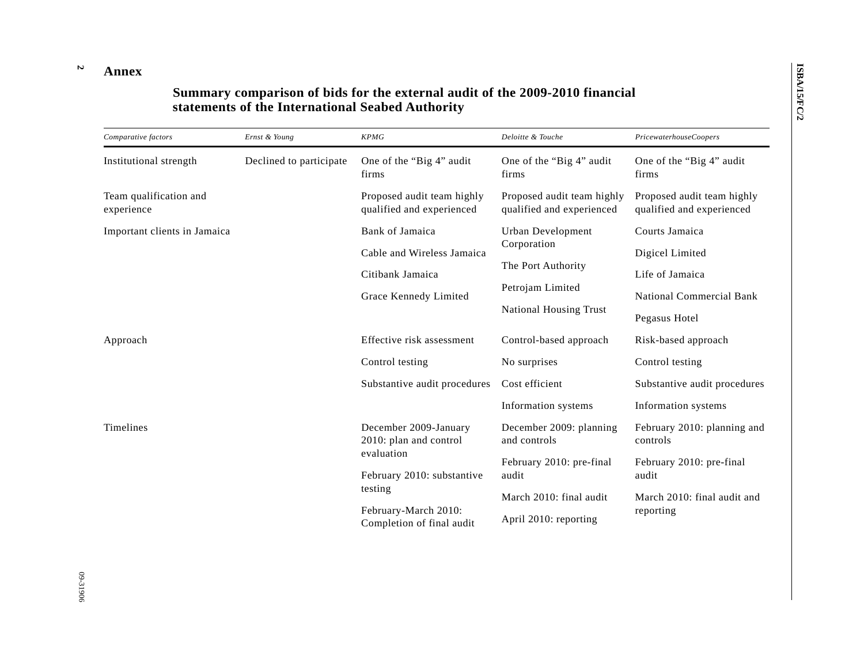#### **Annex**

**2** 

## **Summary comparison of bids for the external audit of the 2009-2010 financial statements of the International Seabed Authority**

| Comparative factors                  | Ernst & Young           | <b>KPMG</b>                                                                                                                                                 | Deloitte & Touche                                       | PricewaterhouseCoopers                                  |
|--------------------------------------|-------------------------|-------------------------------------------------------------------------------------------------------------------------------------------------------------|---------------------------------------------------------|---------------------------------------------------------|
| Institutional strength               | Declined to participate | One of the "Big 4" audit<br>firms                                                                                                                           | One of the "Big 4" audit<br>firms                       | One of the "Big 4" audit<br>firms                       |
| Team qualification and<br>experience |                         | Proposed audit team highly<br>qualified and experienced                                                                                                     | Proposed audit team highly<br>qualified and experienced | Proposed audit team highly<br>qualified and experienced |
| Important clients in Jamaica         |                         | Bank of Jamaica                                                                                                                                             | Urban Development<br>Corporation<br>The Port Authority  | Courts Jamaica                                          |
|                                      |                         | Cable and Wireless Jamaica<br>Citibank Jamaica<br>Grace Kennedy Limited                                                                                     |                                                         | Digicel Limited                                         |
|                                      |                         |                                                                                                                                                             |                                                         | Life of Jamaica                                         |
|                                      |                         |                                                                                                                                                             | Petrojam Limited                                        | <b>National Commercial Bank</b>                         |
|                                      |                         |                                                                                                                                                             | <b>National Housing Trust</b>                           | Pegasus Hotel                                           |
| Approach                             |                         | Effective risk assessment                                                                                                                                   | Control-based approach                                  | Risk-based approach                                     |
|                                      |                         | Control testing                                                                                                                                             | No surprises                                            | Control testing                                         |
|                                      |                         | Substantive audit procedures                                                                                                                                | Cost efficient                                          | Substantive audit procedures                            |
|                                      |                         |                                                                                                                                                             | Information systems                                     | Information systems                                     |
| Timelines                            |                         | December 2009-January<br>2010: plan and control<br>evaluation<br>February 2010: substantive<br>testing<br>February-March 2010:<br>Completion of final audit | December 2009: planning<br>and controls                 | February 2010: planning and<br>controls                 |
|                                      |                         |                                                                                                                                                             | February 2010: pre-final<br>audit                       | February 2010: pre-final<br>audit                       |
|                                      |                         |                                                                                                                                                             | March 2010: final audit                                 | March 2010: final audit and                             |
|                                      |                         |                                                                                                                                                             | April 2010: reporting                                   | reporting                                               |